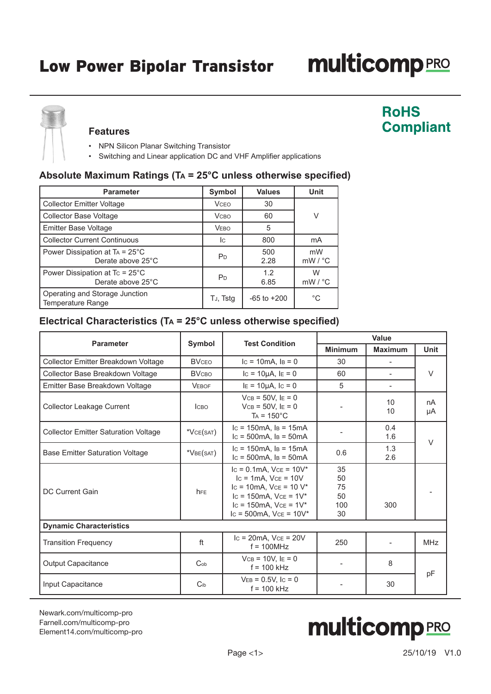# **multicomp**PRO

**RoHS** 

**Compliant** 



#### **Features**

- NPN Silicon Planar Switching Transistor
- Switching and Linear application DC and VHF Amplifier applications

### **Absolute Maximum Ratings (Ta = 25°C unless otherwise specified)**

| <b>Parameter</b>                                               | <b>Symbol</b>  | <b>Values</b>   | <b>Unit</b>              |  |
|----------------------------------------------------------------|----------------|-----------------|--------------------------|--|
| <b>Collector Emitter Voltage</b>                               | <b>VCEO</b>    | 30              |                          |  |
| <b>Collector Base Voltage</b>                                  | <b>V</b> сво   | 60              | V                        |  |
| <b>Emitter Base Voltage</b>                                    | <b>VEBO</b>    | 5               |                          |  |
| <b>Collector Current Continuous</b>                            | <b>I</b> C     | 800             | mA                       |  |
| Power Dissipation at $Ta = 25^{\circ}C$<br>Derate above 25°C   | P <sub>D</sub> | 500<br>2.28     | mW<br>$mW / {}^{\circ}C$ |  |
| Power Dissipation at $T_c = 25^{\circ}$ C<br>Derate above 25°C | P <sub>D</sub> | 1.2<br>6.85     | W<br>$mW / {}^{\circ}C$  |  |
| Operating and Storage Junction<br>Temperature Range            | TJ, Tstg       | $-65$ to $+200$ | $^{\circ}$ C             |  |

## **Electrical Characteristics (Ta = 25°C unless otherwise specified)**

| <b>Parameter</b>                            | <b>Test Condition</b> | Value                                                                                                                                                                                 |                                   |                          |             |
|---------------------------------------------|-----------------------|---------------------------------------------------------------------------------------------------------------------------------------------------------------------------------------|-----------------------------------|--------------------------|-------------|
|                                             | Symbol                |                                                                                                                                                                                       | <b>Minimum</b>                    | <b>Maximum</b>           | <b>Unit</b> |
| Collector Emitter Breakdown Voltage         | <b>BVCEO</b>          | $lc = 10mA$ , $ls = 0$                                                                                                                                                                | 30                                |                          |             |
| Collector Base Breakdown Voltage            | <b>BVCBO</b>          | $lc = 10 \mu A, l \in = 0$                                                                                                                                                            | 60                                | $\overline{\phantom{0}}$ | $\vee$      |
| Emitter Base Breakdown Voltage              | <b>VEBOF</b>          | $I = 10 \mu A$ , $I = 0$                                                                                                                                                              | 5                                 |                          |             |
| <b>Collector Leakage Current</b>            | <b>ICBO</b>           | $VCB = 50V, IE = 0$<br>$VCB = 50V$ . $E = 0$<br>$Ta = 150^{\circ}C$                                                                                                                   |                                   | 10<br>10                 | nA<br>μA    |
| <b>Collector Emitter Saturation Voltage</b> | *VCE(SAT)             | $lc = 150mA$ , $ls = 15mA$<br>$lc = 500mA$ , $ls = 50mA$                                                                                                                              |                                   | 0.4<br>1.6               | V           |
| <b>Base Emitter Saturation Voltage</b>      | *VBE(SAT)             | $lc = 150mA$ , $Is = 15mA$<br>$lc = 500mA$ , $ls = 50mA$                                                                                                                              | 0.6                               | 1.3<br>2.6               |             |
| <b>DC Current Gain</b>                      | <b>h</b> FE           | $lc = 0.1mA$ , $Vce = 10V^*$<br>$lc = 1mA$ . $Vce = 10V$<br>$lc = 10mA$ , $Vce = 10 V*$<br>$lc = 150mA$ , $Vce = 1V^*$<br>$lc = 150mA$ , $Vce = 1V^*$<br>$lc = 500mA$ , $Vce = 10V^*$ | 35<br>50<br>75<br>50<br>100<br>30 | 300                      |             |
| <b>Dynamic Characteristics</b>              |                       |                                                                                                                                                                                       |                                   |                          |             |
| <b>Transition Frequency</b>                 | ft                    | $lc = 20mA$ , $Vce = 20V$<br>$f = 100$ MHz                                                                                                                                            | 250                               |                          | <b>MHz</b>  |
| <b>Output Capacitance</b>                   | Co <sub>b</sub>       | $VCB = 10V$ , $IE = 0$<br>$f = 100$ kHz                                                                                                                                               |                                   | 8                        |             |
| Input Capacitance                           | $C_{ib}$              | $VEB = 0.5V$ , $I_C = 0$<br>$f = 100$ kHz                                                                                                                                             |                                   | 30                       | pF          |

[Newark.com/multicomp-](https://www.newark.com/multicomp-pro)pro [Farnell.com/multicomp](https://www.farnell.com/multicomp-pro)-pro [Element14.com/multicomp-pro](https://element14.com/multicomp-pro)